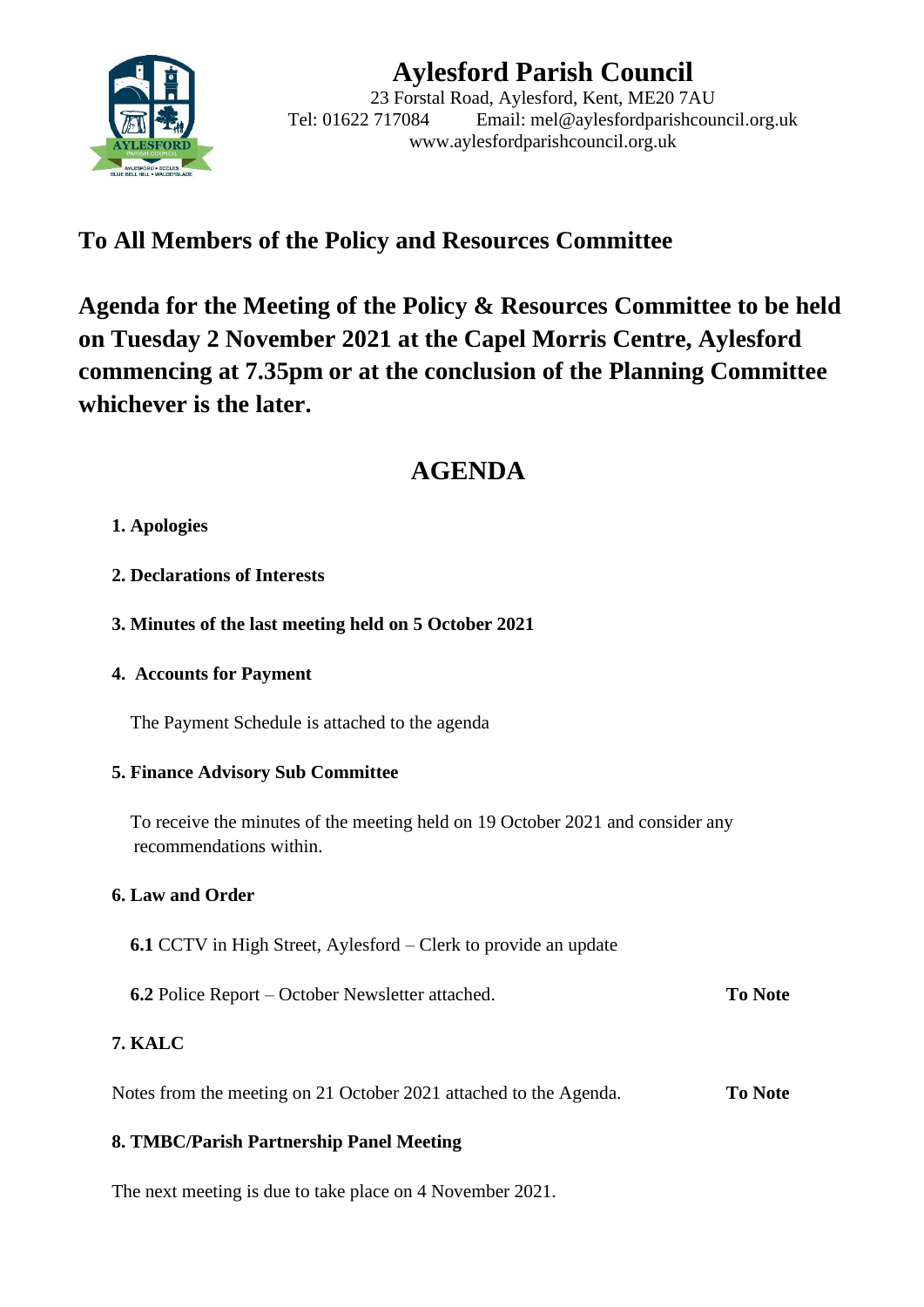

# **Aylesford Parish Council**

23 Forstal Road, Aylesford, Kent, ME20 7AU Tel: 01622 717084 Email: mel@aylesfordparishcouncil.org.uk www.aylesfordparishcouncil.org.uk

# **To All Members of the Policy and Resources Committee**

**Agenda for the Meeting of the Policy & Resources Committee to be held on Tuesday 2 November 2021 at the Capel Morris Centre, Aylesford commencing at 7.35pm or at the conclusion of the Planning Committee whichever is the later.**

# **AGENDA**

### **1. Apologies**

- **2. Declarations of Interests**
- **3. Minutes of the last meeting held on 5 October 2021**

#### **4. Accounts for Payment**

The Payment Schedule is attached to the agenda

#### **5. Finance Advisory Sub Committee**

 To receive the minutes of the meeting held on 19 October 2021 and consider any recommendations within.

## **6. Law and Order**

- **6.1** CCTV in High Street, Aylesford Clerk to provide an update
- **6.2** Police Report October Newsletter attached. **To Note**

## **7. KALC**

Notes from the meeting on 21 October 2021 attached to the Agenda. **To Note**

#### **8. TMBC/Parish Partnership Panel Meeting**

The next meeting is due to take place on 4 November 2021.